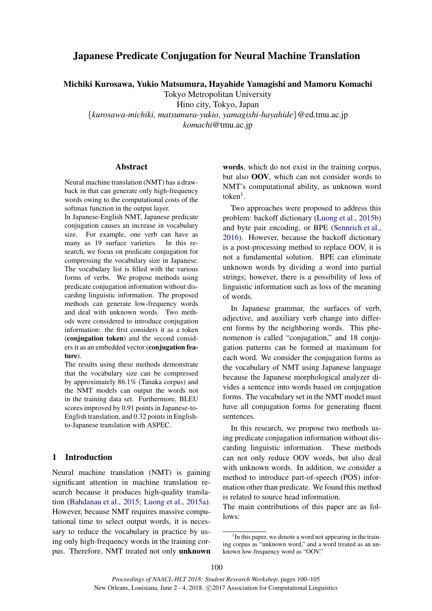# Japanese Predicate Conjugation for Neural Machine Translation

Michiki Kurosawa, Yukio Matsumura, Hayahide Yamagishi and Mamoru Komachi

Tokyo Metropolitan University

Hino city, Tokyo, Japan

{*kurosawa-michiki, matsumura-yukio, yamagishi-hayahide*}@ed.tmu.ac.jp *komachi*@tmu.ac.jp

## Abstract

Neural machine translation (NMT) has a drawback in that can generate only high-frequency words owing to the computational costs of the softmax function in the output layer.

In Japanese-English NMT, Japanese predicate conjugation causes an increase in vocabulary size. For example, one verb can have as many as 19 surface varieties. In this research, we focus on predicate conjugation for compressing the vocabulary size in Japanese. The vocabulary list is filled with the various forms of verbs. We propose methods using predicate conjugation information without discarding linguistic information. The proposed methods can generate low-frequency words and deal with unknown words. Two methods were considered to introduce conjugation information: the first considers it as a token (conjugation token) and the second considers it as an embedded vector (conjugation feature).

The results using these methods demonstrate that the vocabulary size can be compressed by approximately 86.1% (Tanaka corpus) and the NMT models can output the words not in the training data set. Furthermore, BLEU scores improved by 0.91 points in Japanese-to-English translation, and 0.32 points in Englishto-Japanese translation with ASPEC.

## 1 Introduction

Neural machine translation (NMT) is gaining significant attention in machine translation research because it produces high-quality translation (Bahdanau et al., 2015; Luong et al., 2015a). However, because NMT requires massive computational time to select output words, it is necessary to reduce the vocabulary in practice by using only high-frequency words in the training corpus. Therefore, NMT treated not only unknown

words, which do not exist in the training corpus, but also OOV, which can not consider words to NMT's computational ability, as unknown word token<sup>1</sup>.

Two approaches were proposed to address this problem: backoff dictionary (Luong et al., 2015b) and byte pair encoding, or BPE (Sennrich et al., 2016). However, because the backoff dictionary is a post-processing method to replace OOV, it is not a fundamental solution. BPE can eliminate unknown words by dividing a word into partial strings; however, there is a possibility of loss of linguistic information such as loss of the meaning of words.

In Japanese grammar, the surfaces of verb, adjective, and auxiliary verb change into different forms by the neighboring words. This phenomenon is called "conjugation," and 18 conjugation patterns can be formed at maximum for each word. We consider the conjugation forms as the vocabulary of NMT using Japanese language because the Japanese morphological analyzer divides a sentence into words based on conjugation forms. The vocabulary set in the NMT model must have all conjugation forms for generating fluent sentences.

In this research, we propose two methods using predicate conjugation information without discarding linguistic information. These methods can not only reduce OOV words, but also deal with unknown words. In addition, we consider a method to introduce part-of-speech (POS) information other than predicate. We found this method is related to source head information.

The main contributions of this paper are as follows:

<sup>&</sup>lt;sup>1</sup>In this paper, we denote a word not appearing in the training corpus as "unknown word," and a word treated as an unknown low-frequency word as "OOV."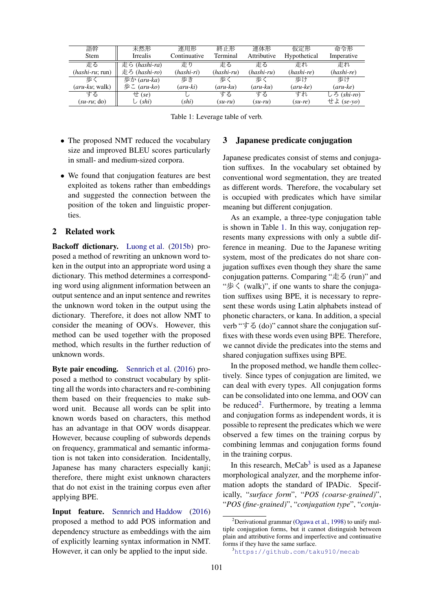| 語幹                       | 未然形           | 連用形          | 終正形          | 連体形          | 仮定形          | 命令形         |
|--------------------------|---------------|--------------|--------------|--------------|--------------|-------------|
| <b>Stem</b>              | Irrealis      | Continuative | Terminal     | Attributive  | Hypothetical | Imperative  |
| 走る                       | 走ら (hashi-ra) | 走り           | 走る           | 走る           | 走れ           | 走れ          |
| $(hashi\text{-}ru; run)$ | 走ろ (hashi-ro) | (hashi-ri)   | $(hashi-ru)$ | $(hashi-ru)$ | (hashi-re)   | (hashi-re)  |
| 歩く                       | 歩か (aru-ka)   | 歩き           | 歩く           | 歩、           | 歩け           | 歩け          |
| ( <i>aru-ku</i> ; walk)  | 歩こ (aru-ko)   | (aru-ki)     | (aru-ku)     | (aru-ku)     | (aru-ke)     | $(aru-ke)$  |
| する                       | $\pm$ (se)    |              | する           | する           | すれ           | しろ (shi-ro) |
| $(su$ -ru; do)           | $\cup$ (shi)  | (shi)        | $(su-ru)$    | $(su-ru)$    | $(su-re)$    | せよ (se-yo)  |

Table 1: Leverage table of verb.

- The proposed NMT reduced the vocabulary size and improved BLEU scores particularly in small- and medium-sized corpora.
- We found that conjugation features are best exploited as tokens rather than embeddings and suggested the connection between the position of the token and linguistic properties.

## 2 Related work

Backoff dictionary. Luong et al. (2015b) proposed a method of rewriting an unknown word token in the output into an appropriate word using a dictionary. This method determines a corresponding word using alignment information between an output sentence and an input sentence and rewrites the unknown word token in the output using the dictionary. Therefore, it does not allow NMT to consider the meaning of OOVs. However, this method can be used together with the proposed method, which results in the further reduction of unknown words.

Byte pair encoding. Sennrich et al. (2016) proposed a method to construct vocabulary by splitting all the words into characters and re-combining them based on their frequencies to make subword unit. Because all words can be split into known words based on characters, this method has an advantage in that OOV words disappear. However, because coupling of subwords depends on frequency, grammatical and semantic information is not taken into consideration. Incidentally, Japanese has many characters especially kanji; therefore, there might exist unknown characters that do not exist in the training corpus even after applying BPE.

Input feature. Sennrich and Haddow (2016) proposed a method to add POS information and dependency structure as embeddings with the aim of explicitly learning syntax information in NMT. However, it can only be applied to the input side.

## 3 Japanese predicate conjugation

Japanese predicates consist of stems and conjugation suffixes. In the vocabulary set obtained by conventional word segmentation, they are treated as different words. Therefore, the vocabulary set is occupied with predicates which have similar meaning but different conjugation.

As an example, a three-type conjugation table is shown in Table 1. In this way, conjugation represents many expressions with only a subtle difference in meaning. Due to the Japanese writing system, most of the predicates do not share conjugation suffixes even though they share the same conjugation patterns. Comparing "走る (run)" and "歩く (walk)", if one wants to share the conjugation suffixes using BPE, it is necessary to represent these words using Latin alphabets instead of phonetic characters, or kana. In addition, a special verb "する (do)" cannot share the conjugation suffixes with these words even using BPE. Therefore, we cannot divide the predicates into the stems and shared conjugation suffixes using BPE.

In the proposed method, we handle them collectively. Since types of conjugation are limited, we can deal with every types. All conjugation forms can be consolidated into one lemma, and OOV can be reduced<sup>2</sup>. Furthermore, by treating a lemma and conjugation forms as independent words, it is possible to represent the predicates which we were observed a few times on the training corpus by combining lemmas and conjugation forms found in the training corpus.

In this research,  $MeCab<sup>3</sup>$  is used as a Japanese morphological analyzer, and the morpheme information adopts the standard of IPADic. Specifically, "*surface form*", "*POS (coarse-grained)*", "*POS (fine-grained)*", "*conjugation type*", "*conju-*

<sup>&</sup>lt;sup>2</sup>Derivational grammar (Ogawa et al., 1998) to unify multiple conjugation forms, but it cannot distinguish between plain and attributive forms and imperfective and continuative forms if they have the same surface.

<sup>3</sup>https://github.com/taku910/mecab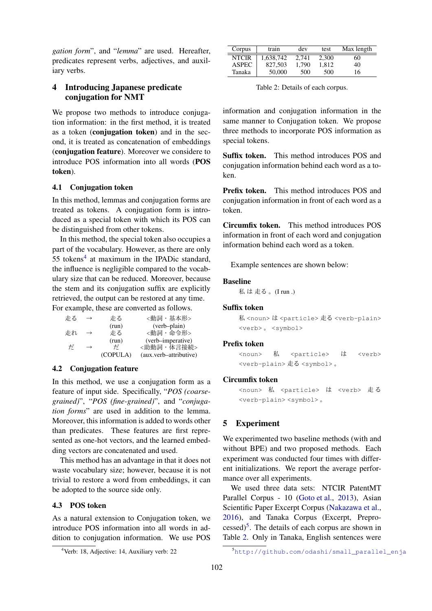*gation form*", and "*lemma*" are used. Hereafter, predicates represent verbs, adjectives, and auxiliary verbs.

## 4 Introducing Japanese predicate conjugation for NMT

We propose two methods to introduce conjugation information: in the first method, it is treated as a token (conjugation token) and in the second, it is treated as concatenation of embeddings (conjugation feature). Moreover we considere to introduce POS information into all words (POS token).

## 4.1 Conjugation token

In this method, lemmas and conjugation forms are treated as tokens. A conjugation form is introduced as a special token with which its POS can be distinguished from other tokens.

In this method, the special token also occupies a part of the vocabulary. However, as there are only 55 tokens<sup>4</sup> at maximum in the IPADic standard, the influence is negligible compared to the vocabulary size that can be reduced. Moreover, because the stem and its conjugation suffix are explicitly retrieved, the output can be restored at any time. For example, these are converted as follows.

| 走る | $\rightarrow$ | 走る       | <動詞・基本形>               |
|----|---------------|----------|------------------------|
|    |               | (run)    | (verb-plain)           |
| 走れ | $\rightarrow$ | 走る       | <動詞・命令形>               |
|    |               | (run)    | (verb-imperative)      |
| だ  | $\rightarrow$ | ザ        | <助動詞 · 体言接続>           |
|    |               | (COPULA) | (aux.verb-attributive) |

### 4.2 Conjugation feature

In this method, we use a conjugation form as a feature of input side. Specifically, "*POS (coarsegrained)*", "*POS (fine-grained)*", and "*conjugation forms*" are used in addition to the lemma. Moreover, this information is added to words other than predicates. These features are first represented as one-hot vectors, and the learned embedding vectors are concatenated and used.

This method has an advantage in that it does not waste vocabulary size; however, because it is not trivial to restore a word from embeddings, it can be adopted to the source side only.

## 4.3 POS token

As a natural extension to Conjugation token, we introduce POS information into all words in addition to conjugation information. We use POS

| Corpus       | train     | dev   | test  | Max length |
|--------------|-----------|-------|-------|------------|
| <b>NTCIR</b> | 1.638.742 | 2.741 | 2.300 | 60         |
| <b>ASPEC</b> | 827,503   | 1.790 | 1.812 | 40         |
| Tanaka       | 50,000    | 500   | 500   | 16         |

Table 2: Details of each corpus.

information and conjugation information in the same manner to Conjugation token. We propose three methods to incorporate POS information as special tokens.

Suffix token. This method introduces POS and conjugation information behind each word as a token.

Prefix token. This method introduces POS and conjugation information in front of each word as a token.

Circumfix token. This method introduces POS information in front of each word and conjugation information behind each word as a token.

Example sentences are shown below:

#### Baseline

**私は走る。(I run .)** 

### Suffix token

私<noun>は<particle> 走る<verb-plain> <verb> 。 <symbol>

#### Prefix token

<noun> 私 <particle> は <verb> <verb-plain> 走る <symbol> 。

#### Circumfix token

<noun> 私 <particle> は <verb> 走る <verb-plain> <symbol> 。

## 5 Experiment

We experimented two baseline methods (with and without BPE) and two proposed methods. Each experiment was conducted four times with different initializations. We report the average performance over all experiments.

We used three data sets: NTCIR PatentMT Parallel Corpus - 10 (Goto et al., 2013), Asian Scientific Paper Excerpt Corpus (Nakazawa et al., 2016), and Tanaka Corpus (Excerpt, Prepro $cessed)^5$ . The details of each corpus are shown in Table 2. Only in Tanaka, English sentences were

<sup>4</sup>Verb: 18, Adjective: 14, Auxiliary verb: 22

<sup>5</sup>http://github.com/odashi/small\_parallel\_enja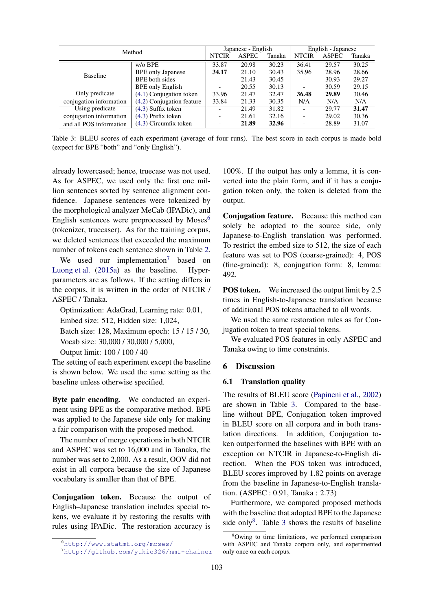| Method                  |                           | Japanese - English       |              |        | English - Japanese |              |        |
|-------------------------|---------------------------|--------------------------|--------------|--------|--------------------|--------------|--------|
|                         |                           | <b>NTCIR</b>             | <b>ASPEC</b> | Tanaka | <b>NTCIR</b>       | <b>ASPEC</b> | Tanaka |
|                         | $w$ / $o$ BPE             | 33.87                    | 20.98        | 30.23  | 36.41              | 29.57        | 30.25  |
| <b>Baseline</b>         | <b>BPE</b> only Japanese  | 34.17                    | 21.10        | 30.43  | 35.96              | 28.96        | 28.66  |
|                         | <b>BPE</b> both sides     |                          | 21.43        | 30.45  |                    | 30.93        | 29.27  |
|                         | <b>BPE</b> only English   | $\overline{\phantom{a}}$ | 20.55        | 30.13  |                    | 30.59        | 29.15  |
| Only predicate          | $(4.1)$ Conjugation token | 33.96                    | 21.47        | 32.47  | 36.48              | 29.89        | 30.46  |
| conjugation information | (4.2) Conjugation feature | 33.84                    | 21.33        | 30.35  | N/A                | N/A          | N/A    |
| Using predicate         | $(4.3)$ Suffix token      |                          | 21.49        | 31.82  |                    | 29.77        | 31.47  |
| conjugation information | (4.3) Prefix token        | $\overline{\phantom{0}}$ | 21.61        | 32.16  |                    | 29.02        | 30.36  |
| and all POS information | $(4.3)$ Circumfix token   |                          | 21.89        | 32.96  |                    | 28.89        | 31.07  |

Table 3: BLEU scores of each experiment (average of four runs). The best score in each corpus is made bold (expect for BPE "both" and "only English").

already lowercased; hence, truecase was not used. As for ASPEC, we used only the first one million sentences sorted by sentence alignment confidence. Japanese sentences were tokenized by the morphological analyzer MeCab (IPADic), and English sentences were preprocessed by  $Moses<sup>6</sup>$ (tokenizer, truecaser). As for the training corpus, we deleted sentences that exceeded the maximum number of tokens each sentence shown in Table 2.

We used our implementation<sup>7</sup> based on Luong et al. (2015a) as the baseline. Hyperparameters are as follows. If the setting differs in the corpus, it is written in the order of NTCIR / ASPEC / Tanaka.

Optimization: AdaGrad, Learning rate: 0.01,

Embed size: 512, Hidden size: 1,024,

Batch size: 128, Maximum epoch: 15 / 15 / 30, Vocab size: 30,000 / 30,000 / 5,000,

Output limit: 100 / 100 / 40

The setting of each experiment except the baseline is shown below. We used the same setting as the baseline unless otherwise specified.

Byte pair encoding. We conducted an experiment using BPE as the comparative method. BPE was applied to the Japanese side only for making a fair comparison with the proposed method.

The number of merge operations in both NTCIR and ASPEC was set to 16,000 and in Tanaka, the number was set to 2,000. As a result, OOV did not exist in all corpora because the size of Japanese vocabulary is smaller than that of BPE.

Conjugation token. Because the output of English–Japanese translation includes special tokens, we evaluate it by restoring the results with rules using IPADic. The restoration accuracy is

100%. If the output has only a lemma, it is converted into the plain form, and if it has a conjugation token only, the token is deleted from the output.

Conjugation feature. Because this method can solely be adopted to the source side, only Japanese-to-English translation was performed. To restrict the embed size to 512, the size of each feature was set to POS (coarse-grained): 4, POS (fine-grained): 8, conjugation form: 8, lemma: 492.

**POS token.** We increased the output limit by 2.5 times in English-to-Japanese translation because of additional POS tokens attached to all words.

We used the same restoration rules as for Conjugation token to treat special tokens.

We evaluated POS features in only ASPEC and Tanaka owing to time constraints.

## 6 Discussion

## 6.1 Translation quality

The results of BLEU score (Papineni et al., 2002) are shown in Table 3. Compared to the baseline without BPE, Conjugation token improved in BLEU score on all corpora and in both translation directions. In addition, Conjugation token outperformed the baselines with BPE with an exception on NTCIR in Japanese-to-English direction. When the POS token was introduced, BLEU scores improved by 1.82 points on average from the baseline in Japanese-to-English translation. (ASPEC : 0.91, Tanaka : 2.73)

Furthermore, we compared proposed methods with the baseline that adopted BPE to the Japanese side only $8$ . Table 3 shows the results of baseline

<sup>6</sup>http://www.statmt.org/moses/

<sup>7</sup>http://github.com/yukio326/nmt-chainer

<sup>8</sup>Owing to time limitations, we performed comparison with ASPEC and Tanaka corpora only, and experimented only once on each corpus.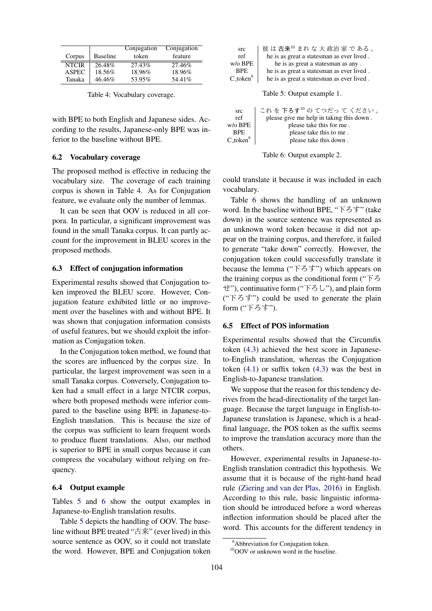|              |                 | Conjugation | Conjugation |
|--------------|-----------------|-------------|-------------|
| Corpus       | <b>Baseline</b> | token       | feature     |
| <b>NTCIR</b> | 26.48%          | 27.43%      | 27.46%      |
| <b>ASPEC</b> | 18.56%          | 18.96%      | 18.96%      |
| Tanaka       | 46.46%          | 53.95%      | 54.41%      |

Table 4: Vocabulary coverage.

with BPE to both English and Japanese sides. According to the results, Japanese-only BPE was inferior to the baseline without BPE.

## 6.2 Vocabulary coverage

The proposed method is effective in reducing the vocabulary size. The coverage of each training corpus is shown in Table 4. As for Conjugation feature, we evaluate only the number of lemmas.

It can be seen that OOV is reduced in all corpora. In particular, a significant improvement was found in the small Tanaka corpus. It can partly account for the improvement in BLEU scores in the proposed methods.

### 6.3 Effect of conjugation information

Experimental results showed that Conjugation token improved the BLEU score. However, Conjugation feature exhibited little or no improvement over the baselines with and without BPE. It was shown that conjugation information consists of useful features, but we should exploit the information as Conjugation token.

In the Conjugation token method, we found that the scores are influenced by the corpus size. In particular, the largest improvement was seen in a small Tanaka corpus. Conversely, Conjugation token had a small effect in a large NTCIR corpus, where both proposed methods were inferior compared to the baseline using BPE in Japanese-to-English translation. This is because the size of the corpus was sufficient to learn frequent words to produce fluent translations. Also, our method is superior to BPE in small corpus because it can compress the vocabulary without relying on frequency.

## 6.4 Output example

Tables 5 and 6 show the output examples in Japanese-to-English translation results.

Table 5 depicts the handling of OOV. The baseline without BPE treated "古来" (ever lived) in this source sentence as OOV, so it could not translate the word. However, BPE and Conjugation token

| src                   | 彼は古来 $10$ まれな大政治家である。                     |
|-----------------------|-------------------------------------------|
| ref                   | he is as great a statesman as ever lived. |
| $w$ / $\circ$ BPE     | he is as great a statesman as any.        |
| <b>BPE</b>            | he is as great a statesman as ever lived. |
| $C_{\text{-}token}^9$ | he is as great a statesman as ever lived. |
|                       |                                           |
|                       | Table 5: Output example 1.                |

| src             | これを下ろす10のてつだってください。                      |
|-----------------|------------------------------------------|
| ref             | please give me help in taking this down. |
| w/o BPE         | please take this for me.                 |
| <b>BPE</b>      | please take this to me.                  |
| $C_$ token $^9$ | please take this down.                   |
|                 |                                          |



could translate it because it was included in each vocabulary.

Table 6 shows the handling of an unknown word. In the baseline without BPE, "下ろす" (take down) in the source sentence was represented as an unknown word token because it did not appear on the training corpus, and therefore, it failed to generate "take down" correctly. However, the conjugation token could successfully translate it because the lemma ("下ろす") which appears on the training corpus as the conditional form ("下ろ せ"), continuative form ("下ろし"), and plain form (" $\overline{F}$  $\overline{5}$  $\overline{5}$ ") could be used to generate the plain form ("下ろす").

#### 6.5 Effect of POS information

Experimental results showed that the Circumfix token (4.3) achieved the best score in Japaneseto-English translation, whereas the Conjugation token (4.1) or suffix token (4.3) was the best in English-to-Japanese translation.

We suppose that the reason for this tendency derives from the head-directionality of the target language. Because the target language in English-to-Japanese translation is Japanese, which is a headfinal language, the POS token as the suffix seems to improve the translation accuracy more than the others.

However, experimental results in Japanese-to-English translation contradict this hypothesis. We assume that it is because of the right-hand head rule (Ziering and van der Plas, 2016) in English. According to this rule, basic linguistic information should be introduced before a word whereas inflection information should be placed after the word. This accounts for the different tendency in

<sup>&</sup>lt;sup>9</sup>Abbreviation for Conjugation token.

<sup>&</sup>lt;sup>10</sup>OOV or unknown word in the baseline.